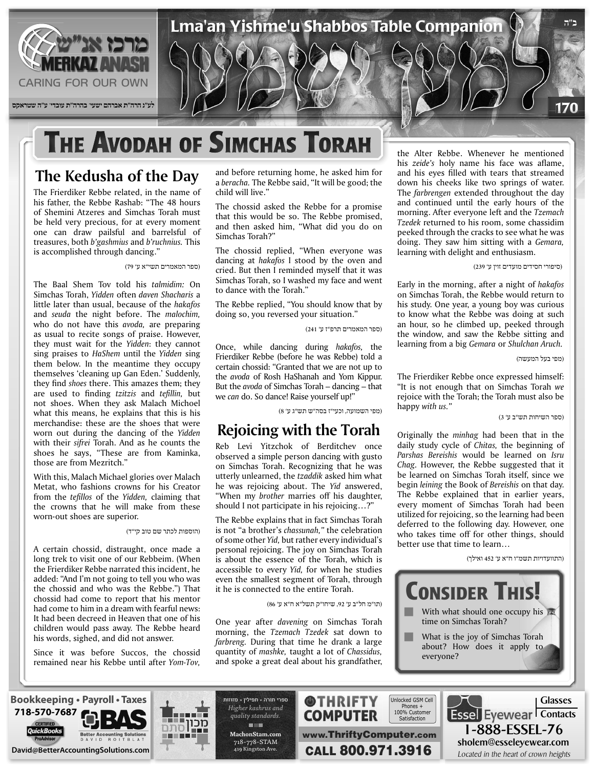

## **THE AVODAH OF SIMCHAS TORAH**

### **The Kedusha of the Day**

The Frierdiker Rebbe related, in the name of his father, the Rebbe Rashab: "The 48 hours of Shemini Atzeres and Simchas Torah must be held very precious, for at every moment one can draw pailsful and barrelsful of treasures, both *b*'gashmius and *b*'ruchnius. This is accomplished through dancing."

(ספר המאמרים תשי"א ע' 79)

The Baal Shem Tov told his talmidim: On Simchas Torah, Yidden often daven Shacharis a little later than usual, because of the hakafos and *seuda* the night before. The *malochim*, who do not have this avoda, are preparing as usual to recite songs of praise. However, they must wait for the *Yidden*: they cannot sing praises to *HaShem* until the Yidden sing them below. In the meantime they occupy themselves 'cleaning up Gan Eden.' Suddenly, they find *shoes* there. This amazes them; they are used to finding *tzitzis* and *tefillin*, but not shoes. When they ask Malach Michoel what this means, he explains that this is his merchandise: these are the shoes that were worn out during the dancing of the Yidden with their *sifrei* Torah. And as he counts the shoes he says, "These are from Kaminka, those are from Mezritch."

With this, Malach Michael glories over Malach Metat, who fashions crowns for his Creator from the *tefillos* of the Yidden, claiming that the crowns that he will make from these worn-out shoes are superior.

#### (הוספות לכתר שם טוב קי"ד)

A certain chossid, distraught, once made a long trek to visit one of our Rebbeim. (When the Frierdiker Rebbe narrated this incident, he added: "And I'm not going to tell you who was the chossid and who was the Rebbe.") That chossid had come to report that his mentor had come to him in a dream with fearful news: It had been decreed in Heaven that one of his children would pass away. The Rebbe heard his words, sighed, and did not answer.

Since it was before Succos, the chossid remained near his Rebbe until after Yom-Tov, and before returning home, he asked him for a beracha. The Rebbe said, "It will be good; the child will live."

The chossid asked the Rebbe for a promise that this would be so. The Rebbe promised, and then asked him, "What did you do on Simchas Torah?"

The chossid replied, "When everyone was dancing at *hakafos* I stood by the oven and cried. But then I reminded myself that it was Simchas Torah, so I washed my face and went to dance with the Torah."

The Rebbe replied, "You should know that by doing so, you reversed your situation."

(ספר המאמרים תרפ"ז ע' 241)

Once, while dancing during hakafos, the Frierdiker Rebbe (before he was Rebbe) told a certain chossid: "Granted that we are not up to the *avoda* of Rosh HaShanah and Yom Kippur. But the *avoda* of Simchas Torah – dancing – that we can do. So dance! Raise yourself up!"

(מפי השמועה, וכעי"ז בסה"ש תש"ג ע' 8)

#### **Rejoicing with the Torah**

Reb Levi Yitzchok of Berditchev once observed a simple person dancing with gusto on Simchas Torah. Recognizing that he was utterly unlearned, the tzaddik asked him what he was rejoicing about. The Yid answered, "When my brother marries off his daughter, should I not participate in his rejoicing...?"

The Rebbe explains that in fact Simchas Torah is not "a brother's *chassunah*." the celebration of some other *Yid*, but rather every individual's personal rejoicing. The joy on Simchas Torah is about the essence of the Torah, which is accessible to every *Yid*, for when he studies even the smallest segment of Torah, through it he is connected to the entire Torah.

(תו"מ חל"ב ע' ,92 שיחו"ק תשל"א ח"א ע' 86)

One year after *davening* on Simchas Torah morning, the *Tzemach Tzedek* sat down to farbreng. During that time he drank a large quantity of *mashke*, taught a lot of *Chassidus*, and spoke a great deal about his grandfather,

the Alter Rebbe. Whenever he mentioned his zeide's holy name his face was aflame, and his eyes filled with tears that streamed down his cheeks like two springs of water. The farbrengen extended throughout the day and continued until the early hours of the morning. After everyone left and the Tzemach Tzedek returned to his room, some chassidim peeked through the cracks to see what he was doing. They saw him sitting with a *Gemara*, learning with delight and enthusiasm.

(סיפורי חסידים מועדים זוין ע' 239)

Early in the morning, after a night of hakafos on Simchas Torah, the Rebbe would return to his study. One year, a young boy was curious to know what the Rebbe was doing at such an hour, so he climbed up, peeked through the window, and saw the Rebbe sitting and learning from a big Gemara or Shulchan Aruch.

(מפי בעל המעשה)

The Frierdiker Rebbe once expressed himself: "It is not enough that on Simchas Torah we rejoice with the Torah; the Torah must also be happy with us."

(ספר השיחות תש"ב ע' 3)

Originally the minhag had been that in the daily study cycle of *Chitas*, the beginning of *Parshas Bereishis* would be learned on *Isru* Chag. However, the Rebbe suggested that it be learned on Simchas Torah itself, since we begin *leining* the Book of *Bereishis* on that day. The Rebbe explained that in earlier years, every moment of Simchas Torah had been utilized for rejoicing, so the learning had been deferred to the following day. However, one who takes time off for other things, should better use that time to learn...

(התוועדויות תשמ"ו ח"א ע' 452 ואילך)